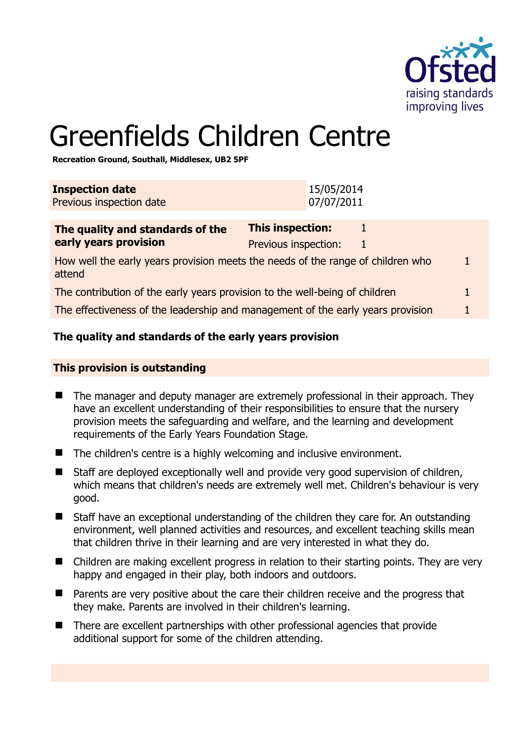

# Greenfields Children Centre

**Recreation Ground, Southall, Middlesex, UB2 5PF** 

| <b>Inspection date</b><br>Previous inspection date                                        | 15/05/2014<br>07/07/2011                      |  |
|-------------------------------------------------------------------------------------------|-----------------------------------------------|--|
| The quality and standards of the<br>early years provision                                 | This inspection:<br>Previous inspection:<br>1 |  |
| How well the early years provision meets the needs of the range of children who<br>attend |                                               |  |
| The contribution of the early years provision to the well-being of children<br>1          |                                               |  |
| The effectiveness of the leadership and management of the early years provision           |                                               |  |
|                                                                                           |                                               |  |

# **The quality and standards of the early years provision**

# **This provision is outstanding**

- The manager and deputy manager are extremely professional in their approach. They have an excellent understanding of their responsibilities to ensure that the nursery provision meets the safeguarding and welfare, and the learning and development requirements of the Early Years Foundation Stage.
- The children's centre is a highly welcoming and inclusive environment.
- Staff are deployed exceptionally well and provide very good supervision of children, which means that children's needs are extremely well met. Children's behaviour is very good.
- Staff have an exceptional understanding of the children they care for. An outstanding environment, well planned activities and resources, and excellent teaching skills mean that children thrive in their learning and are very interested in what they do.
- Children are making excellent progress in relation to their starting points. They are very happy and engaged in their play, both indoors and outdoors.
- Parents are very positive about the care their children receive and the progress that they make. Parents are involved in their children's learning.
- There are excellent partnerships with other professional agencies that provide additional support for some of the children attending.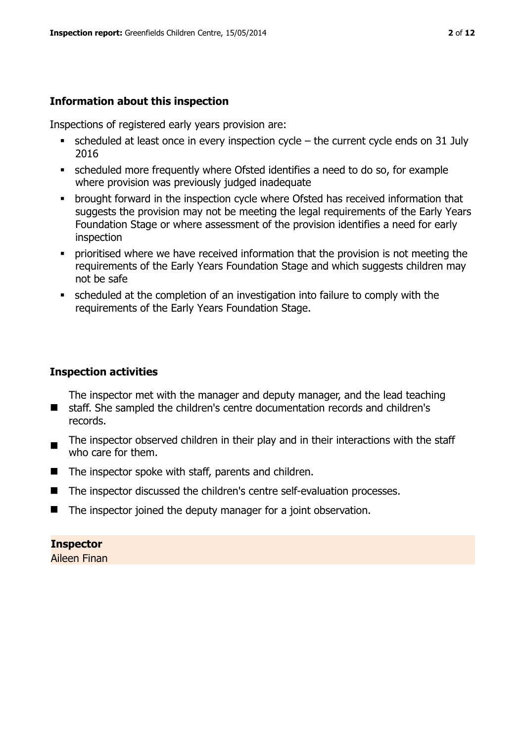# **Information about this inspection**

Inspections of registered early years provision are:

- $\bullet$  scheduled at least once in every inspection cycle the current cycle ends on 31 July 2016
- scheduled more frequently where Ofsted identifies a need to do so, for example where provision was previously judged inadequate
- **•** brought forward in the inspection cycle where Ofsted has received information that suggests the provision may not be meeting the legal requirements of the Early Years Foundation Stage or where assessment of the provision identifies a need for early inspection
- **•** prioritised where we have received information that the provision is not meeting the requirements of the Early Years Foundation Stage and which suggests children may not be safe
- scheduled at the completion of an investigation into failure to comply with the requirements of the Early Years Foundation Stage.

# **Inspection activities**

The inspector met with the manager and deputy manager, and the lead teaching

- $\blacksquare$ staff. She sampled the children's centre documentation records and children's records.
- The inspector observed children in their play and in their interactions with the staff who care for them.
- $\blacksquare$  The inspector spoke with staff, parents and children.
- The inspector discussed the children's centre self-evaluation processes.
- The inspector joined the deputy manager for a joint observation.

# **Inspector**

Aileen Finan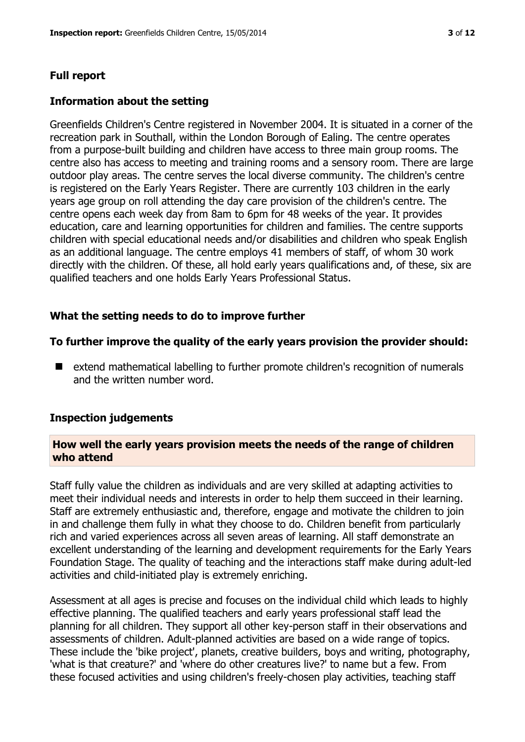# **Full report**

#### **Information about the setting**

Greenfields Children's Centre registered in November 2004. It is situated in a corner of the recreation park in Southall, within the London Borough of Ealing. The centre operates from a purpose-built building and children have access to three main group rooms. The centre also has access to meeting and training rooms and a sensory room. There are large outdoor play areas. The centre serves the local diverse community. The children's centre is registered on the Early Years Register. There are currently 103 children in the early years age group on roll attending the day care provision of the children's centre. The centre opens each week day from 8am to 6pm for 48 weeks of the year. It provides education, care and learning opportunities for children and families. The centre supports children with special educational needs and/or disabilities and children who speak English as an additional language. The centre employs 41 members of staff, of whom 30 work directly with the children. Of these, all hold early years qualifications and, of these, six are qualified teachers and one holds Early Years Professional Status.

#### **What the setting needs to do to improve further**

#### **To further improve the quality of the early years provision the provider should:**

■ extend mathematical labelling to further promote children's recognition of numerals and the written number word.

#### **Inspection judgements**

# **How well the early years provision meets the needs of the range of children who attend**

Staff fully value the children as individuals and are very skilled at adapting activities to meet their individual needs and interests in order to help them succeed in their learning. Staff are extremely enthusiastic and, therefore, engage and motivate the children to join in and challenge them fully in what they choose to do. Children benefit from particularly rich and varied experiences across all seven areas of learning. All staff demonstrate an excellent understanding of the learning and development requirements for the Early Years Foundation Stage. The quality of teaching and the interactions staff make during adult-led activities and child-initiated play is extremely enriching.

Assessment at all ages is precise and focuses on the individual child which leads to highly effective planning. The qualified teachers and early years professional staff lead the planning for all children. They support all other key-person staff in their observations and assessments of children. Adult-planned activities are based on a wide range of topics. These include the 'bike project', planets, creative builders, boys and writing, photography, 'what is that creature?' and 'where do other creatures live?' to name but a few. From these focused activities and using children's freely-chosen play activities, teaching staff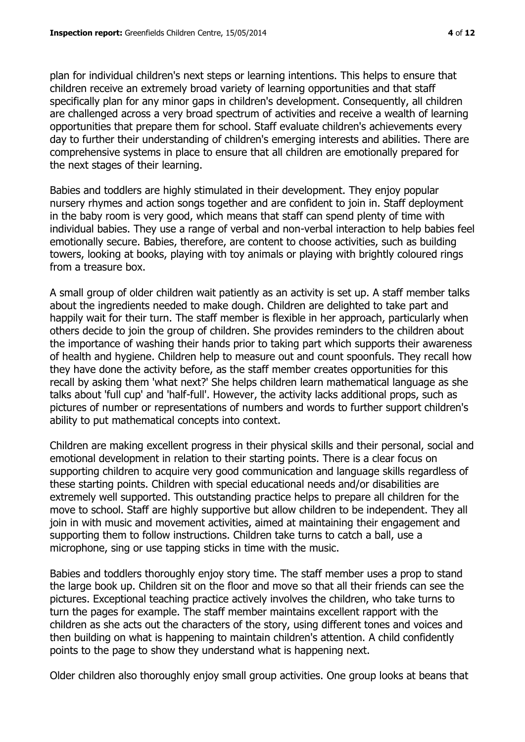plan for individual children's next steps or learning intentions. This helps to ensure that children receive an extremely broad variety of learning opportunities and that staff specifically plan for any minor gaps in children's development. Consequently, all children are challenged across a very broad spectrum of activities and receive a wealth of learning opportunities that prepare them for school. Staff evaluate children's achievements every day to further their understanding of children's emerging interests and abilities. There are comprehensive systems in place to ensure that all children are emotionally prepared for the next stages of their learning.

Babies and toddlers are highly stimulated in their development. They enjoy popular nursery rhymes and action songs together and are confident to join in. Staff deployment in the baby room is very good, which means that staff can spend plenty of time with individual babies. They use a range of verbal and non-verbal interaction to help babies feel emotionally secure. Babies, therefore, are content to choose activities, such as building towers, looking at books, playing with toy animals or playing with brightly coloured rings from a treasure box.

A small group of older children wait patiently as an activity is set up. A staff member talks about the ingredients needed to make dough. Children are delighted to take part and happily wait for their turn. The staff member is flexible in her approach, particularly when others decide to join the group of children. She provides reminders to the children about the importance of washing their hands prior to taking part which supports their awareness of health and hygiene. Children help to measure out and count spoonfuls. They recall how they have done the activity before, as the staff member creates opportunities for this recall by asking them 'what next?' She helps children learn mathematical language as she talks about 'full cup' and 'half-full'. However, the activity lacks additional props, such as pictures of number or representations of numbers and words to further support children's ability to put mathematical concepts into context.

Children are making excellent progress in their physical skills and their personal, social and emotional development in relation to their starting points. There is a clear focus on supporting children to acquire very good communication and language skills regardless of these starting points. Children with special educational needs and/or disabilities are extremely well supported. This outstanding practice helps to prepare all children for the move to school. Staff are highly supportive but allow children to be independent. They all join in with music and movement activities, aimed at maintaining their engagement and supporting them to follow instructions. Children take turns to catch a ball, use a microphone, sing or use tapping sticks in time with the music.

Babies and toddlers thoroughly enjoy story time. The staff member uses a prop to stand the large book up. Children sit on the floor and move so that all their friends can see the pictures. Exceptional teaching practice actively involves the children, who take turns to turn the pages for example. The staff member maintains excellent rapport with the children as she acts out the characters of the story, using different tones and voices and then building on what is happening to maintain children's attention. A child confidently points to the page to show they understand what is happening next.

Older children also thoroughly enjoy small group activities. One group looks at beans that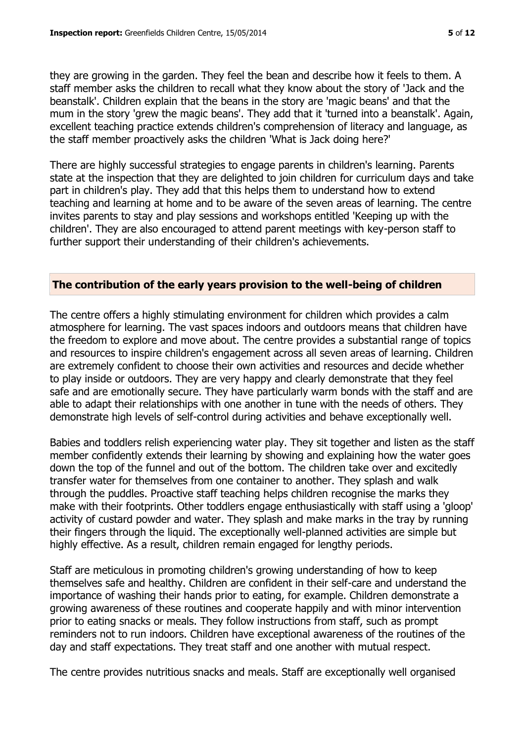they are growing in the garden. They feel the bean and describe how it feels to them. A staff member asks the children to recall what they know about the story of 'Jack and the beanstalk'. Children explain that the beans in the story are 'magic beans' and that the mum in the story 'grew the magic beans'. They add that it 'turned into a beanstalk'. Again, excellent teaching practice extends children's comprehension of literacy and language, as the staff member proactively asks the children 'What is Jack doing here?'

There are highly successful strategies to engage parents in children's learning. Parents state at the inspection that they are delighted to join children for curriculum days and take part in children's play. They add that this helps them to understand how to extend teaching and learning at home and to be aware of the seven areas of learning. The centre invites parents to stay and play sessions and workshops entitled 'Keeping up with the children'. They are also encouraged to attend parent meetings with key-person staff to further support their understanding of their children's achievements.

# **The contribution of the early years provision to the well-being of children**

The centre offers a highly stimulating environment for children which provides a calm atmosphere for learning. The vast spaces indoors and outdoors means that children have the freedom to explore and move about. The centre provides a substantial range of topics and resources to inspire children's engagement across all seven areas of learning. Children are extremely confident to choose their own activities and resources and decide whether to play inside or outdoors. They are very happy and clearly demonstrate that they feel safe and are emotionally secure. They have particularly warm bonds with the staff and are able to adapt their relationships with one another in tune with the needs of others. They demonstrate high levels of self-control during activities and behave exceptionally well.

Babies and toddlers relish experiencing water play. They sit together and listen as the staff member confidently extends their learning by showing and explaining how the water goes down the top of the funnel and out of the bottom. The children take over and excitedly transfer water for themselves from one container to another. They splash and walk through the puddles. Proactive staff teaching helps children recognise the marks they make with their footprints. Other toddlers engage enthusiastically with staff using a 'gloop' activity of custard powder and water. They splash and make marks in the tray by running their fingers through the liquid. The exceptionally well-planned activities are simple but highly effective. As a result, children remain engaged for lengthy periods.

Staff are meticulous in promoting children's growing understanding of how to keep themselves safe and healthy. Children are confident in their self-care and understand the importance of washing their hands prior to eating, for example. Children demonstrate a growing awareness of these routines and cooperate happily and with minor intervention prior to eating snacks or meals. They follow instructions from staff, such as prompt reminders not to run indoors. Children have exceptional awareness of the routines of the day and staff expectations. They treat staff and one another with mutual respect.

The centre provides nutritious snacks and meals. Staff are exceptionally well organised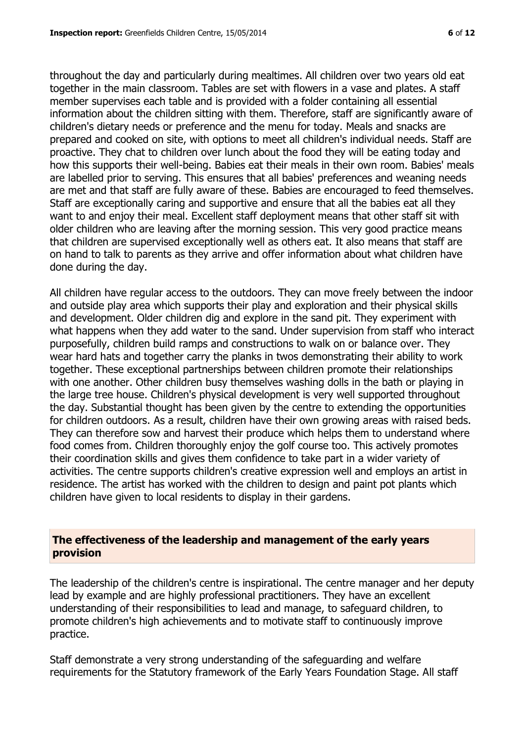throughout the day and particularly during mealtimes. All children over two years old eat together in the main classroom. Tables are set with flowers in a vase and plates. A staff member supervises each table and is provided with a folder containing all essential information about the children sitting with them. Therefore, staff are significantly aware of children's dietary needs or preference and the menu for today. Meals and snacks are prepared and cooked on site, with options to meet all children's individual needs. Staff are proactive. They chat to children over lunch about the food they will be eating today and how this supports their well-being. Babies eat their meals in their own room. Babies' meals are labelled prior to serving. This ensures that all babies' preferences and weaning needs are met and that staff are fully aware of these. Babies are encouraged to feed themselves. Staff are exceptionally caring and supportive and ensure that all the babies eat all they want to and enjoy their meal. Excellent staff deployment means that other staff sit with older children who are leaving after the morning session. This very good practice means that children are supervised exceptionally well as others eat. It also means that staff are on hand to talk to parents as they arrive and offer information about what children have done during the day.

All children have regular access to the outdoors. They can move freely between the indoor and outside play area which supports their play and exploration and their physical skills and development. Older children dig and explore in the sand pit. They experiment with what happens when they add water to the sand. Under supervision from staff who interact purposefully, children build ramps and constructions to walk on or balance over. They wear hard hats and together carry the planks in twos demonstrating their ability to work together. These exceptional partnerships between children promote their relationships with one another. Other children busy themselves washing dolls in the bath or playing in the large tree house. Children's physical development is very well supported throughout the day. Substantial thought has been given by the centre to extending the opportunities for children outdoors. As a result, children have their own growing areas with raised beds. They can therefore sow and harvest their produce which helps them to understand where food comes from. Children thoroughly enjoy the golf course too. This actively promotes their coordination skills and gives them confidence to take part in a wider variety of activities. The centre supports children's creative expression well and employs an artist in residence. The artist has worked with the children to design and paint pot plants which children have given to local residents to display in their gardens.

# **The effectiveness of the leadership and management of the early years provision**

The leadership of the children's centre is inspirational. The centre manager and her deputy lead by example and are highly professional practitioners. They have an excellent understanding of their responsibilities to lead and manage, to safeguard children, to promote children's high achievements and to motivate staff to continuously improve practice.

Staff demonstrate a very strong understanding of the safeguarding and welfare requirements for the Statutory framework of the Early Years Foundation Stage. All staff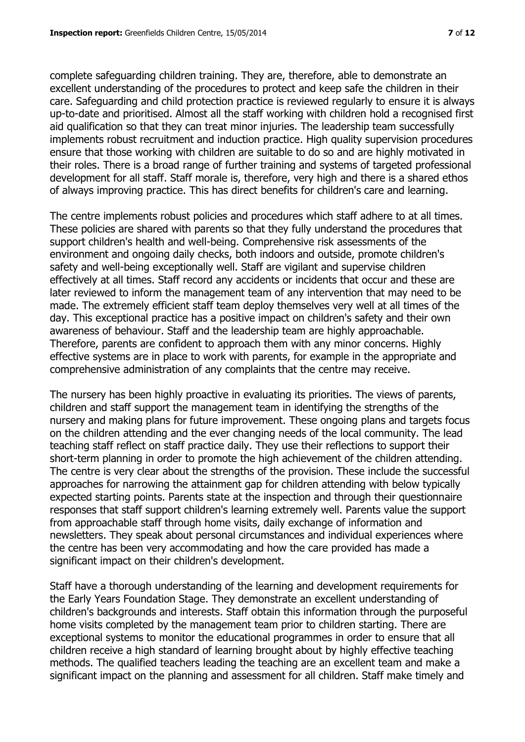complete safeguarding children training. They are, therefore, able to demonstrate an excellent understanding of the procedures to protect and keep safe the children in their care. Safeguarding and child protection practice is reviewed regularly to ensure it is always up-to-date and prioritised. Almost all the staff working with children hold a recognised first aid qualification so that they can treat minor injuries. The leadership team successfully implements robust recruitment and induction practice. High quality supervision procedures ensure that those working with children are suitable to do so and are highly motivated in their roles. There is a broad range of further training and systems of targeted professional development for all staff. Staff morale is, therefore, very high and there is a shared ethos of always improving practice. This has direct benefits for children's care and learning.

The centre implements robust policies and procedures which staff adhere to at all times. These policies are shared with parents so that they fully understand the procedures that support children's health and well-being. Comprehensive risk assessments of the environment and ongoing daily checks, both indoors and outside, promote children's safety and well-being exceptionally well. Staff are vigilant and supervise children effectively at all times. Staff record any accidents or incidents that occur and these are later reviewed to inform the management team of any intervention that may need to be made. The extremely efficient staff team deploy themselves very well at all times of the day. This exceptional practice has a positive impact on children's safety and their own awareness of behaviour. Staff and the leadership team are highly approachable. Therefore, parents are confident to approach them with any minor concerns. Highly effective systems are in place to work with parents, for example in the appropriate and comprehensive administration of any complaints that the centre may receive.

The nursery has been highly proactive in evaluating its priorities. The views of parents, children and staff support the management team in identifying the strengths of the nursery and making plans for future improvement. These ongoing plans and targets focus on the children attending and the ever changing needs of the local community. The lead teaching staff reflect on staff practice daily. They use their reflections to support their short-term planning in order to promote the high achievement of the children attending. The centre is very clear about the strengths of the provision. These include the successful approaches for narrowing the attainment gap for children attending with below typically expected starting points. Parents state at the inspection and through their questionnaire responses that staff support children's learning extremely well. Parents value the support from approachable staff through home visits, daily exchange of information and newsletters. They speak about personal circumstances and individual experiences where the centre has been very accommodating and how the care provided has made a significant impact on their children's development.

Staff have a thorough understanding of the learning and development requirements for the Early Years Foundation Stage. They demonstrate an excellent understanding of children's backgrounds and interests. Staff obtain this information through the purposeful home visits completed by the management team prior to children starting. There are exceptional systems to monitor the educational programmes in order to ensure that all children receive a high standard of learning brought about by highly effective teaching methods. The qualified teachers leading the teaching are an excellent team and make a significant impact on the planning and assessment for all children. Staff make timely and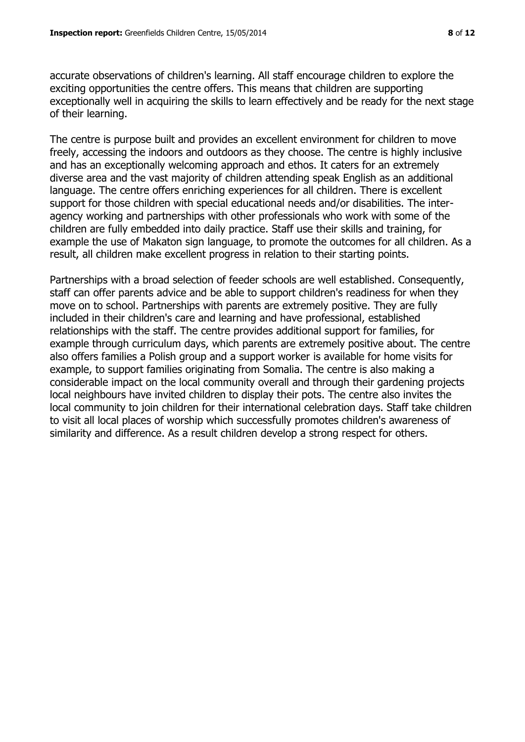accurate observations of children's learning. All staff encourage children to explore the exciting opportunities the centre offers. This means that children are supporting exceptionally well in acquiring the skills to learn effectively and be ready for the next stage of their learning.

The centre is purpose built and provides an excellent environment for children to move freely, accessing the indoors and outdoors as they choose. The centre is highly inclusive and has an exceptionally welcoming approach and ethos. It caters for an extremely diverse area and the vast majority of children attending speak English as an additional language. The centre offers enriching experiences for all children. There is excellent support for those children with special educational needs and/or disabilities. The interagency working and partnerships with other professionals who work with some of the children are fully embedded into daily practice. Staff use their skills and training, for example the use of Makaton sign language, to promote the outcomes for all children. As a result, all children make excellent progress in relation to their starting points.

Partnerships with a broad selection of feeder schools are well established. Consequently, staff can offer parents advice and be able to support children's readiness for when they move on to school. Partnerships with parents are extremely positive. They are fully included in their children's care and learning and have professional, established relationships with the staff. The centre provides additional support for families, for example through curriculum days, which parents are extremely positive about. The centre also offers families a Polish group and a support worker is available for home visits for example, to support families originating from Somalia. The centre is also making a considerable impact on the local community overall and through their gardening projects local neighbours have invited children to display their pots. The centre also invites the local community to join children for their international celebration days. Staff take children to visit all local places of worship which successfully promotes children's awareness of similarity and difference. As a result children develop a strong respect for others.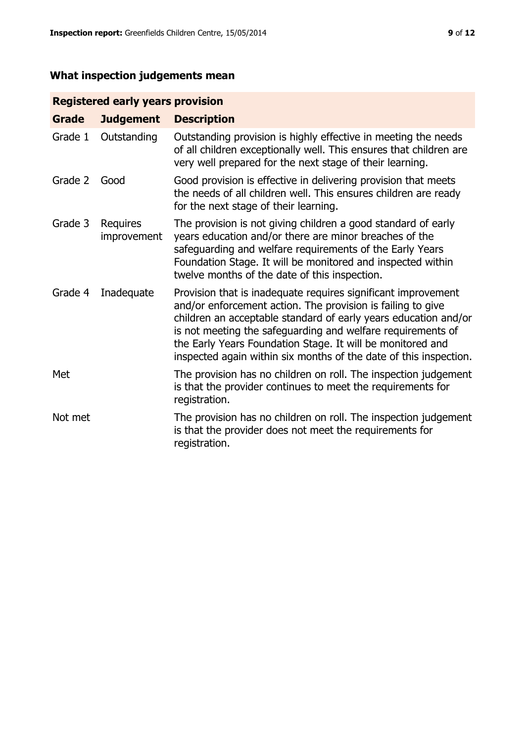# **What inspection judgements mean**

# **Registered early years provision**

| <b>Grade</b> | <b>Judgement</b>        | <b>Description</b>                                                                                                                                                                                                                                                                                                                                                                                |
|--------------|-------------------------|---------------------------------------------------------------------------------------------------------------------------------------------------------------------------------------------------------------------------------------------------------------------------------------------------------------------------------------------------------------------------------------------------|
| Grade 1      | Outstanding             | Outstanding provision is highly effective in meeting the needs<br>of all children exceptionally well. This ensures that children are<br>very well prepared for the next stage of their learning.                                                                                                                                                                                                  |
| Grade 2      | Good                    | Good provision is effective in delivering provision that meets<br>the needs of all children well. This ensures children are ready<br>for the next stage of their learning.                                                                                                                                                                                                                        |
| Grade 3      | Requires<br>improvement | The provision is not giving children a good standard of early<br>years education and/or there are minor breaches of the<br>safeguarding and welfare requirements of the Early Years<br>Foundation Stage. It will be monitored and inspected within<br>twelve months of the date of this inspection.                                                                                               |
| Grade 4      | Inadequate              | Provision that is inadequate requires significant improvement<br>and/or enforcement action. The provision is failing to give<br>children an acceptable standard of early years education and/or<br>is not meeting the safeguarding and welfare requirements of<br>the Early Years Foundation Stage. It will be monitored and<br>inspected again within six months of the date of this inspection. |
| Met          |                         | The provision has no children on roll. The inspection judgement<br>is that the provider continues to meet the requirements for<br>registration.                                                                                                                                                                                                                                                   |
| Not met      |                         | The provision has no children on roll. The inspection judgement<br>is that the provider does not meet the requirements for<br>registration.                                                                                                                                                                                                                                                       |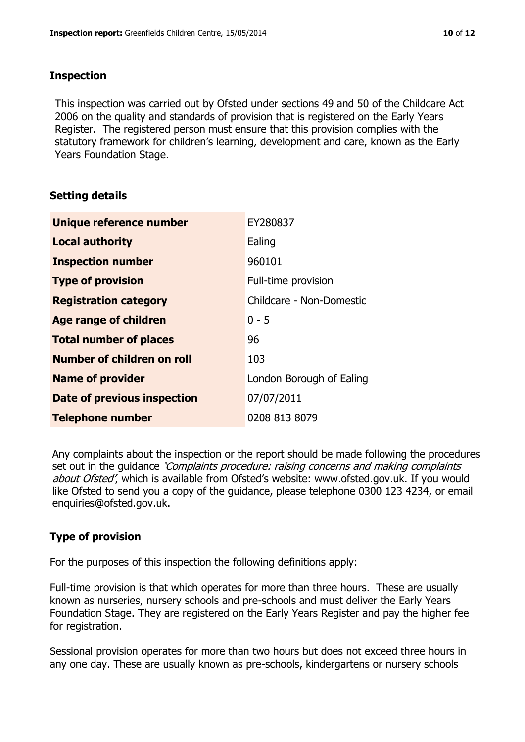# **Inspection**

This inspection was carried out by Ofsted under sections 49 and 50 of the Childcare Act 2006 on the quality and standards of provision that is registered on the Early Years Register. The registered person must ensure that this provision complies with the statutory framework for children's learning, development and care, known as the Early Years Foundation Stage.

# **Setting details**

| <b>Unique reference number</b> | EY280837                 |
|--------------------------------|--------------------------|
| <b>Local authority</b>         | Ealing                   |
| <b>Inspection number</b>       | 960101                   |
| <b>Type of provision</b>       | Full-time provision      |
| <b>Registration category</b>   | Childcare - Non-Domestic |
| Age range of children          | $0 - 5$                  |
| <b>Total number of places</b>  | 96                       |
| Number of children on roll     | 103                      |
| <b>Name of provider</b>        | London Borough of Ealing |
| Date of previous inspection    | 07/07/2011               |
| <b>Telephone number</b>        | 0208 813 8079            |

Any complaints about the inspection or the report should be made following the procedures set out in the guidance *'Complaints procedure: raising concerns and making complaints* about Ofsted', which is available from Ofsted's website: www.ofsted.gov.uk. If you would like Ofsted to send you a copy of the guidance, please telephone 0300 123 4234, or email enquiries@ofsted.gov.uk.

# **Type of provision**

For the purposes of this inspection the following definitions apply:

Full-time provision is that which operates for more than three hours. These are usually known as nurseries, nursery schools and pre-schools and must deliver the Early Years Foundation Stage. They are registered on the Early Years Register and pay the higher fee for registration.

Sessional provision operates for more than two hours but does not exceed three hours in any one day. These are usually known as pre-schools, kindergartens or nursery schools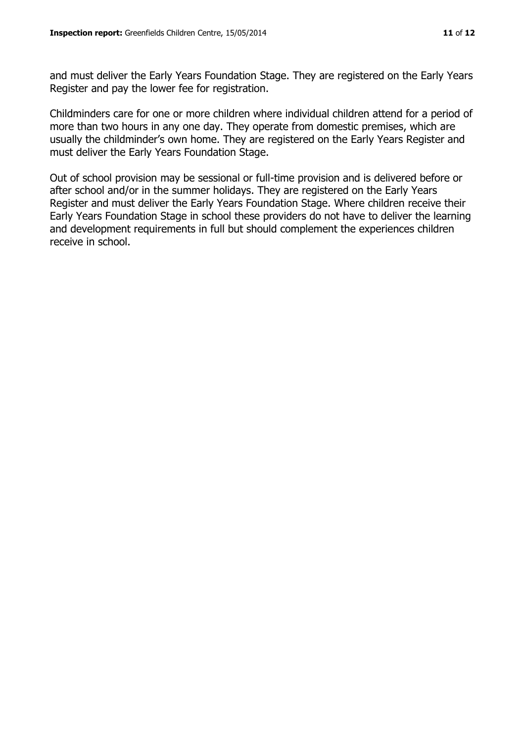and must deliver the Early Years Foundation Stage. They are registered on the Early Years Register and pay the lower fee for registration.

Childminders care for one or more children where individual children attend for a period of more than two hours in any one day. They operate from domestic premises, which are usually the childminder's own home. They are registered on the Early Years Register and must deliver the Early Years Foundation Stage.

Out of school provision may be sessional or full-time provision and is delivered before or after school and/or in the summer holidays. They are registered on the Early Years Register and must deliver the Early Years Foundation Stage. Where children receive their Early Years Foundation Stage in school these providers do not have to deliver the learning and development requirements in full but should complement the experiences children receive in school.